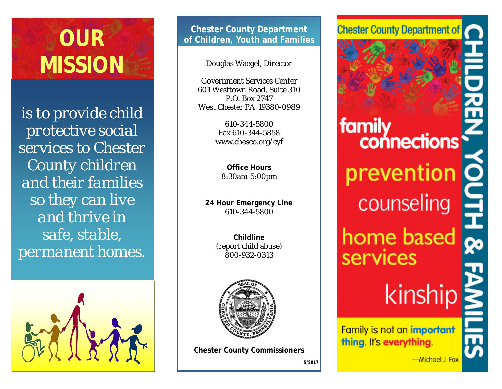

*is to provide child protective social services to Chester County children and their families so they can live and thrive in safe, stable, permanent homes.*



**Chester County Department of Children, Youth and Families**

Douglas Waegel, *Director*

Government Services Center 601 Westtown Road, Suite 310 P.O. Box 2747 West Chester PA 19380-0989

> 610-344-5800 Fax 610-344-5858 www.chesco.org/cyf

**Office Hours** 8:30am-5:00pm

**24 Hour Emergency Line** 610-344-5800

> **Childline**  (report child abuse) 800-932-0313



**Chester County Commissioners**

**5/2017**

**Chester County Department of** 

# family connections prevention counseling home based services kinship

**Family is not an important** thing. It's everything.

-Michael J. Fox